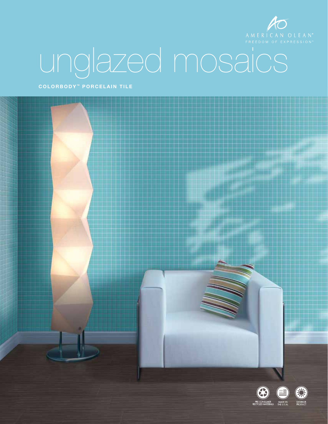

# unglazed mosaics

COLORBODY<sup>™</sup> PORCELAIN TILE

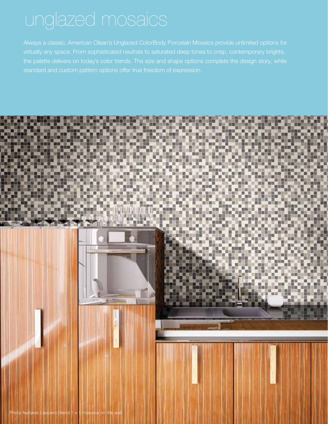Always a classic, American Olean's Unglazed ColorBody Porcelain Mosaics provide unlimited options for virtually any space. From sophisticated neutrals to saturated deep tones to crisp, contemporary brights, the palette delivers on today's color trends. The size and shape options complete the design story, while

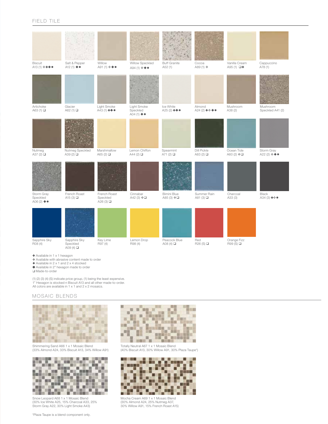| <b>Biscuit</b><br>A13 (1) ❖ +◆●                                                                                                                                                  | Salt & Pepper<br>A12 $(1)$ $\blacklozenge$ $\blacksquare$ | Willow<br>A91 (1) ❖◆●                 | Willow Speckled<br>A94 (1) ❖◆●                                      | <b>Buff Granite</b><br>A52(1) | Cocoa<br>A89 (1) ❖          | Vanilla Cream<br>A95 (1) $\Box +$ | Cappuccino<br>A78 (1)        |  |  |
|----------------------------------------------------------------------------------------------------------------------------------------------------------------------------------|-----------------------------------------------------------|---------------------------------------|---------------------------------------------------------------------|-------------------------------|-----------------------------|-----------------------------------|------------------------------|--|--|
|                                                                                                                                                                                  |                                                           |                                       |                                                                     |                               |                             |                                   |                              |  |  |
| Artichoke<br>A63 $(1)$                                                                                                                                                           | Glacier<br>A62 (1) <b>□</b>                               | Light Smoke<br>A43 (1) $++$           | Light Smoke<br>Speckled<br>A04 $(1)$ $\blacklozenge$ $\blacksquare$ | Ice White<br>A25 (2) $++$     | Almond<br>A24 (2) $+$ ↔ ◆ ● | Mushroom<br>A38 (2)               | Mushroom<br>Speckled A41 (2) |  |  |
| Nutmeg                                                                                                                                                                           | Nutmeg Speckled                                           | Marshmallow                           | Lemon Chiffon                                                       | Spearmint                     | Dill Pickle                 | Ocean Tide                        | Storm Gray                   |  |  |
| A37 $(2)$                                                                                                                                                                        | A39 $(2)$                                                 | A65 $(2)$                             | A44 $(2)$                                                           | A71 $(2)$                     | A83 (2) □                   | A60 (2) ❖□                        | A22 (2) ❖◆●                  |  |  |
| Storm Gray<br>Speckled<br>A06 $(2)$ $\blacklozenge$                                                                                                                              | French Roast<br>A15 $(3)$                                 | French Roast<br>Speckled<br>A26 $(3)$ | Cinnabar<br>A42 (3) ❖□                                              | Bimini Blue<br>A85 (3) ❖□     | Summer Rain<br>A81 $(3)$    | Charcoal<br>A33 (3)               | Black<br>$A34(3)$ + $\div$ ● |  |  |
| Sapphire Sky<br>R08 (4)                                                                                                                                                          | Sapphire Sky<br>Speckled<br>A09 $(4)$                     | Key Lime<br>R97 (4)                   | Lemon Drop<br>R98 (4)                                               | Peacock Blue<br>A08 $(4)$     | Red<br>R26(S)               | Orange Fizz<br>R99 (S) □          |                              |  |  |
| + Available in 1 x 1 hexagon<br>* Available with abrasive content made to order<br>$\blacklozenge$ Available in 2 x 1 and 2 x 4 stocked<br>Available in 2" hexagon made to order |                                                           |                                       |                                                                     |                               |                             |                                   |                              |  |  |

 $\Box$  Made-to-order

(1) (2) (3) (4) (S) indicate price group, (1) being the least expensive. 1" Hexagon is stocked n Biscuit A13 and all other made-to-order. All colors are available in 1 x 1 and 2 x 2 mosaics.

#### Mosaic BLENDS



## Shimmering Sand A66 1 x 1 Mosaic Blend (33% Almond A24, 33% Biscuit A13, 34% Willow A91)



Snow Leopard A68 1 x 1 Mosaic Blend (30% Ice White A25, 15% Charcoal A33, 25% Storm Gray A22, 30% Light Smoke A43)



Totally Neutral A67 1 x 1 Mosaic Blend (40% Biscuit A13, 30% Willow A91, 30% Plaza Taupe\*)



Mocha Cream A69 1 x 1 Mosaic Blend (30% Almond A24, 25% Nutmeg A37, 30% Willow A91, 15% French Roast A15)